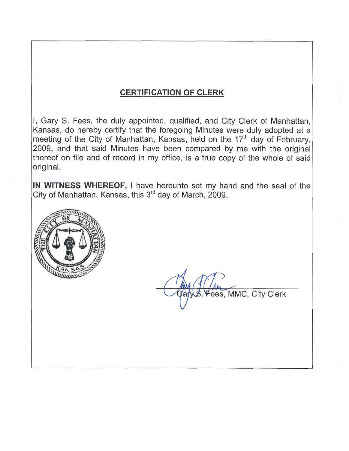# **CERTIFICATION OF CLERK**

I, Gary S. Fees, the duly appointed, qualified, and City Clerk of Manhattan, Kansas, do hereby certify that the foregoing Minutes were duly adopted at a meeting of the City of Manhattan, Kansas, held on the 17<sup>th</sup> day of February, 2009, and that said Minutes have been compared by me with the original thereof on file and of record in my office, is a true copy of the whole of said original.

IN WITNESS WHEREOF, I have hereunto set my hand and the seal of the City of Manhattan, Kansas, this 3<sup>rd</sup> day of March, 2009.



ees, MMC, City Clerk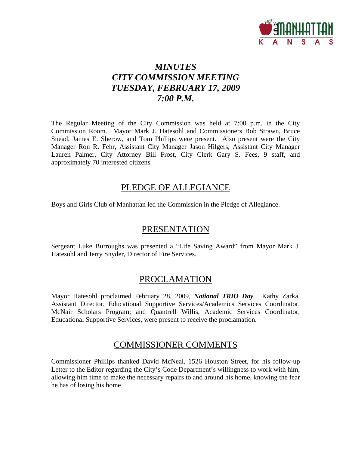

# *MINUTES CITY COMMISSION MEETING TUESDAY, FEBRUARY 17, 2009 7:00 P.M.*

The Regular Meeting of the City Commission was held at 7:00 p.m. in the City Commission Room. Mayor Mark J. Hatesohl and Commissioners Bob Strawn, Bruce Snead, James E. Sherow, and Tom Phillips were present. Also present were the City Manager Ron R. Fehr, Assistant City Manager Jason Hilgers, Assistant City Manager Lauren Palmer, City Attorney Bill Frost, City Clerk Gary S. Fees, 9 staff, and approximately 70 interested citizens.

### PLEDGE OF ALLEGIANCE

Boys and Girls Club of Manhattan led the Commission in the Pledge of Allegiance.

## **PRESENTATION**

Sergeant Luke Burroughs was presented a "Life Saving Award" from Mayor Mark J. Hatesohl and Jerry Snyder, Director of Fire Services.

## PROCLAMATION

Mayor Hatesohl proclaimed February 28, 2009, *National TRIO Day*. Kathy Zarka, Assistant Director, Educational Supportive Services/Academics Services Coordinator, McNair Scholars Program; and Quantrell Willis, Academic Services Coordinator, Educational Supportive Services, were present to receive the proclamation.

### COMMISSIONER COMMENTS

Commissioner Phillips thanked David McNeal, 1526 Houston Street, for his follow-up Letter to the Editor regarding the City's Code Department's willingness to work with him, allowing him time to make the necessary repairs to and around his home, knowing the fear he has of losing his home.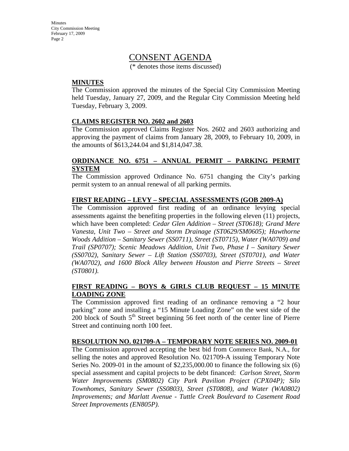**Minutes** City Commission Meeting February 17, 2009 Page 2

### CONSENT AGENDA

(\* denotes those items discussed)

#### **MINUTES**

The Commission approved the minutes of the Special City Commission Meeting held Tuesday, January 27, 2009, and the Regular City Commission Meeting held Tuesday, February 3, 2009.

#### **CLAIMS REGISTER NO. 2602 and 2603**

The Commission approved Claims Register Nos. 2602 and 2603 authorizing and approving the payment of claims from January 28, 2009, to February 10, 2009, in the amounts of \$613,244.04 and \$1,814,047.38.

#### **ORDINANCE NO. 6751 – ANNUAL PERMIT – PARKING PERMIT SYSTEM**

The Commission approved Ordinance No. 6751 changing the City's parking permit system to an annual renewal of all parking permits.

#### **FIRST READING – LEVY – SPECIAL ASSESSMENTS (GOB 2009-A)**

The Commission approved first reading of an ordinance levying special assessments against the benefiting properties in the following eleven (11) projects, which have been completed: *Cedar Glen Addition – Street (ST0618); Grand Mere Vanesta, Unit Two – Street and Storm Drainage (ST0629/SM0605); Hawthorne Woods Addition – Sanitary Sewer (SS0711), Street (ST0715), Water (WA0709) and Trail (SP0707); Scenic Meadows Addition, Unit Two, Phase I – Sanitary Sewer (SS0702), Sanitary Sewer – Lift Station (SS0703), Street (ST0701), and Water (WA0702), and 1600 Block Alley between Houston and Pierre Streets – Street (ST0801).*

#### **FIRST READING – BOYS & GIRLS CLUB REQUEST – 15 MINUTE LOADING ZONE**

The Commission approved first reading of an ordinance removing a "2 hour parking" zone and installing a "15 Minute Loading Zone" on the west side of the 200 block of South  $5<sup>th</sup>$  Street beginning 56 feet north of the center line of Pierre Street and continuing north 100 feet.

#### **RESOLUTION NO. 021709-A – TEMPORARY NOTE SERIES NO. 2009-01**

The Commission approved accepting the best bid from Commerce Bank, N.A., for selling the notes and approved Resolution No. 021709-A issuing Temporary Note Series No. 2009-01 in the amount of  $$2,235,000.00$  to finance the following six (6) special assessment and capital projects to be debt financed: *Carlson Street, Storm Water Improvements (SM0802) City Park Pavilion Project (CPX04P); Silo Townhomes, Sanitary Sewer (SS0803), Street (ST0808), and Water (WA0802) Improvements; and Marlatt Avenue - Tuttle Creek Boulevard to Casement Road Street Improvements (EN805P).*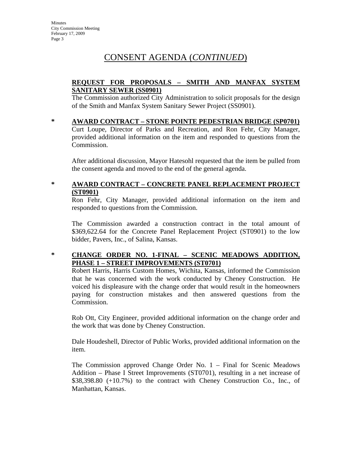# CONSENT AGENDA (*CONTINUED*)

#### **REQUEST FOR PROPOSALS – SMITH AND MANFAX SYSTEM SANITARY SEWER (SS0901)**

The Commission authorized City Administration to solicit proposals for the design of the Smith and Manfax System Sanitary Sewer Project (SS0901).

**\* AWARD CONTRACT – STONE POINTE PEDESTRIAN BRIDGE (SP0701)** Curt Loupe, Director of Parks and Recreation, and Ron Fehr, City Manager, provided additional information on the item and responded to questions from the Commission.

After additional discussion, Mayor Hatesohl requested that the item be pulled from the consent agenda and moved to the end of the general agenda.

### **\* AWARD CONTRACT – CONCRETE PANEL REPLACEMENT PROJECT (ST0901)**

Ron Fehr, City Manager, provided additional information on the item and responded to questions from the Commission.

The Commission awarded a construction contract in the total amount of \$369,622.64 for the Concrete Panel Replacement Project (ST0901) to the low bidder, Pavers, Inc., of Salina, Kansas.

### **\* CHANGE ORDER NO. 1-FINAL – SCENIC MEADOWS ADDITION, PHASE 1 – STREET IMPROVEMENTS (ST0701)**

Robert Harris, Harris Custom Homes, Wichita, Kansas, informed the Commission that he was concerned with the work conducted by Cheney Construction. He voiced his displeasure with the change order that would result in the homeowners paying for construction mistakes and then answered questions from the Commission.

Rob Ott, City Engineer, provided additional information on the change order and the work that was done by Cheney Construction.

Dale Houdeshell, Director of Public Works, provided additional information on the item.

The Commission approved Change Order No. 1 – Final for Scenic Meadows Addition – Phase I Street Improvements (ST0701), resulting in a net increase of \$38,398.80 (+10.7%) to the contract with Cheney Construction Co., Inc., of Manhattan, Kansas.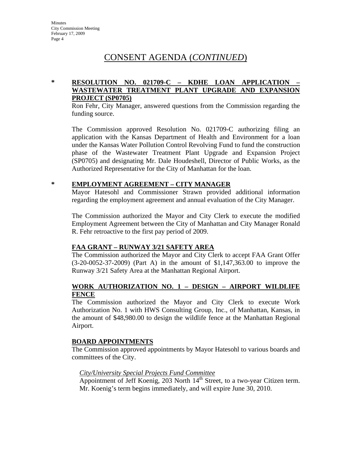## CONSENT AGENDA (*CONTINUED*)

### **\* RESOLUTION NO. 021709-C – KDHE LOAN APPLICATION – WASTEWATER TREATMENT PLANT UPGRADE AND EXPANSION PROJECT (SP0705)**

Ron Fehr, City Manager, answered questions from the Commission regarding the funding source.

The Commission approved Resolution No. 021709-C authorizing filing an application with the Kansas Department of Health and Environment for a loan under the Kansas Water Pollution Control Revolving Fund to fund the construction phase of the Wastewater Treatment Plant Upgrade and Expansion Project (SP0705) and designating Mr. Dale Houdeshell, Director of Public Works, as the Authorized Representative for the City of Manhattan for the loan.

#### **\* EMPLOYMENT AGREEMENT – CITY MANAGER**

Mayor Hatesohl and Commissioner Strawn provided additional information regarding the employment agreement and annual evaluation of the City Manager.

The Commission authorized the Mayor and City Clerk to execute the modified Employment Agreement between the City of Manhattan and City Manager Ronald R. Fehr retroactive to the first pay period of 2009.

#### **FAA GRANT – RUNWAY 3/21 SAFETY AREA**

The Commission authorized the Mayor and City Clerk to accept FAA Grant Offer (3-20-0052-37-2009) (Part A) in the amount of \$1,147,363.00 to improve the Runway 3/21 Safety Area at the Manhattan Regional Airport.

#### **WORK AUTHORIZATION NO. 1 – DESIGN – AIRPORT WILDLIFE FENCE**

The Commission authorized the Mayor and City Clerk to execute Work Authorization No. 1 with HWS Consulting Group, Inc., of Manhattan, Kansas, in the amount of \$48,980.00 to design the wildlife fence at the Manhattan Regional Airport.

#### **BOARD APPOINTMENTS**

The Commission approved appointments by Mayor Hatesohl to various boards and committees of the City.

#### *City/University Special Projects Fund Committee*

Appointment of Jeff Koenig, 203 North  $14<sup>th</sup>$  Street, to a two-year Citizen term. Mr. Koenig's term begins immediately, and will expire June 30, 2010.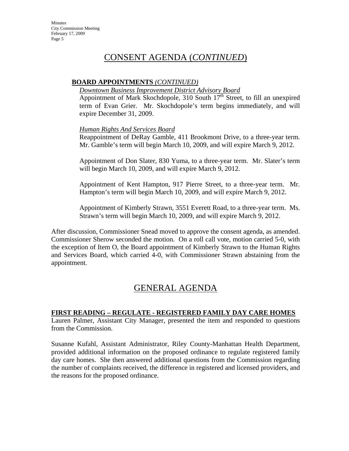## CONSENT AGENDA (*CONTINUED*)

#### **BOARD APPOINTMENTS** *(CONTINUED)*

#### *Downtown Business Improvement District Advisory Board*

Appointment of Mark Skochdopole, 310 South  $17<sup>th</sup>$  Street, to fill an unexpired term of Evan Grier. Mr. Skochdopole's term begins immediately, and will expire December 31, 2009.

#### *Human Rights And Services Board*

Reappointment of DeRay Gamble, 411 Brookmont Drive, to a three-year term. Mr. Gamble's term will begin March 10, 2009, and will expire March 9, 2012.

Appointment of Don Slater, 830 Yuma, to a three-year term. Mr. Slater's term will begin March 10, 2009, and will expire March 9, 2012.

Appointment of Kent Hampton, 917 Pierre Street, to a three-year term. Mr. Hampton's term will begin March 10, 2009, and will expire March 9, 2012.

Appointment of Kimberly Strawn, 3551 Everett Road, to a three-year term. Ms. Strawn's term will begin March 10, 2009, and will expire March 9, 2012.

After discussion, Commissioner Snead moved to approve the consent agenda, as amended. Commissioner Sherow seconded the motion. On a roll call vote, motion carried 5-0, with the exception of Item O, the Board appointment of Kimberly Strawn to the Human Rights and Services Board, which carried 4-0, with Commissioner Strawn abstaining from the appointment.

# GENERAL AGENDA

#### **FIRST READING – REGULATE - REGISTERED FAMILY DAY CARE HOMES**

Lauren Palmer, Assistant City Manager, presented the item and responded to questions from the Commission.

Susanne Kufahl, Assistant Administrator, Riley County-Manhattan Health Department, provided additional information on the proposed ordinance to regulate registered family day care homes. She then answered additional questions from the Commission regarding the number of complaints received, the difference in registered and licensed providers, and the reasons for the proposed ordinance.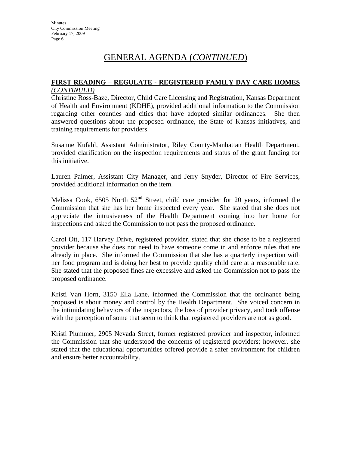#### **FIRST READING – REGULATE - REGISTERED FAMILY DAY CARE HOMES** *(CONTINUED)*

Christine Ross-Baze, Director, Child Care Licensing and Registration, Kansas Department of Health and Environment (KDHE), provided additional information to the Commission regarding other counties and cities that have adopted similar ordinances. She then answered questions about the proposed ordinance, the State of Kansas initiatives, and training requirements for providers.

Susanne Kufahl, Assistant Administrator, Riley County-Manhattan Health Department, provided clarification on the inspection requirements and status of the grant funding for this initiative.

Lauren Palmer, Assistant City Manager, and Jerry Snyder, Director of Fire Services, provided additional information on the item.

Melissa Cook,  $6505$  North  $52<sup>nd</sup>$  Street, child care provider for 20 years, informed the Commission that she has her home inspected every year. She stated that she does not appreciate the intrusiveness of the Health Department coming into her home for inspections and asked the Commission to not pass the proposed ordinance.

Carol Ott, 117 Harvey Drive, registered provider, stated that she chose to be a registered provider because she does not need to have someone come in and enforce rules that are already in place. She informed the Commission that she has a quarterly inspection with her food program and is doing her best to provide quality child care at a reasonable rate. She stated that the proposed fines are excessive and asked the Commission not to pass the proposed ordinance.

Kristi Van Horn, 3150 Ella Lane, informed the Commission that the ordinance being proposed is about money and control by the Health Department. She voiced concern in the intimidating behaviors of the inspectors, the loss of provider privacy, and took offense with the perception of some that seem to think that registered providers are not as good.

Kristi Plummer, 2905 Nevada Street, former registered provider and inspector, informed the Commission that she understood the concerns of registered providers; however, she stated that the educational opportunities offered provide a safer environment for children and ensure better accountability.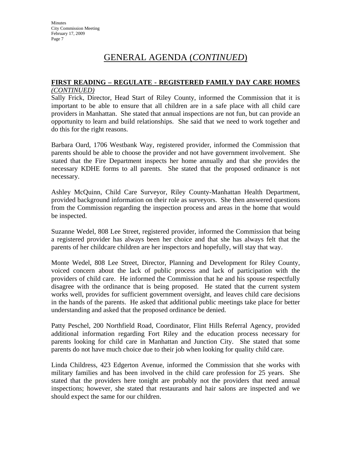#### **FIRST READING – REGULATE - REGISTERED FAMILY DAY CARE HOMES** *(CONTINUED)*

Sally Frick, Director, Head Start of Riley County, informed the Commission that it is important to be able to ensure that all children are in a safe place with all child care providers in Manhattan. She stated that annual inspections are not fun, but can provide an opportunity to learn and build relationships. She said that we need to work together and do this for the right reasons.

Barbara Oard, 1706 Westbank Way, registered provider, informed the Commission that parents should be able to choose the provider and not have government involvement. She stated that the Fire Department inspects her home annually and that she provides the necessary KDHE forms to all parents. She stated that the proposed ordinance is not necessary.

Ashley McQuinn, Child Care Surveyor, Riley County-Manhattan Health Department, provided background information on their role as surveyors. She then answered questions from the Commission regarding the inspection process and areas in the home that would be inspected.

Suzanne Wedel, 808 Lee Street, registered provider, informed the Commission that being a registered provider has always been her choice and that she has always felt that the parents of her childcare children are her inspectors and hopefully, will stay that way.

Monte Wedel, 808 Lee Street, Director, Planning and Development for Riley County, voiced concern about the lack of public process and lack of participation with the providers of child care. He informed the Commission that he and his spouse respectfully disagree with the ordinance that is being proposed. He stated that the current system works well, provides for sufficient government oversight, and leaves child care decisions in the hands of the parents. He asked that additional public meetings take place for better understanding and asked that the proposed ordinance be denied.

Patty Peschel, 200 Northfield Road, Coordinator, Flint Hills Referral Agency, provided additional information regarding Fort Riley and the education process necessary for parents looking for child care in Manhattan and Junction City. She stated that some parents do not have much choice due to their job when looking for quality child care.

Linda Childress, 423 Edgerton Avenue, informed the Commission that she works with military families and has been involved in the child care profession for 25 years. She stated that the providers here tonight are probably not the providers that need annual inspections; however, she stated that restaurants and hair salons are inspected and we should expect the same for our children.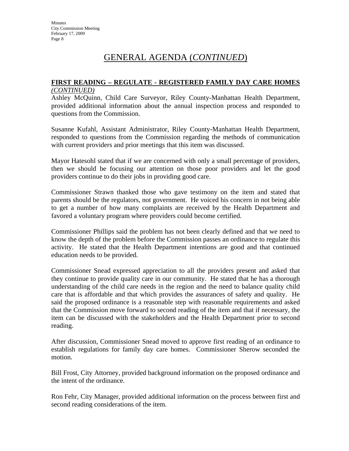#### **FIRST READING – REGULATE - REGISTERED FAMILY DAY CARE HOMES** *(CONTINUED)*

Ashley McQuinn, Child Care Surveyor, Riley County-Manhattan Health Department, provided additional information about the annual inspection process and responded to questions from the Commission.

Susanne Kufahl, Assistant Administrator, Riley County-Manhattan Health Department, responded to questions from the Commission regarding the methods of communication with current providers and prior meetings that this item was discussed.

Mayor Hatesohl stated that if we are concerned with only a small percentage of providers, then we should be focusing our attention on those poor providers and let the good providers continue to do their jobs in providing good care.

Commissioner Strawn thanked those who gave testimony on the item and stated that parents should be the regulators, not government. He voiced his concern in not being able to get a number of how many complaints are received by the Health Department and favored a voluntary program where providers could become certified.

Commissioner Phillips said the problem has not been clearly defined and that we need to know the depth of the problem before the Commission passes an ordinance to regulate this activity. He stated that the Health Department intentions are good and that continued education needs to be provided.

Commissioner Snead expressed appreciation to all the providers present and asked that they continue to provide quality care in our community. He stated that he has a thorough understanding of the child care needs in the region and the need to balance quality child care that is affordable and that which provides the assurances of safety and quality. He said the proposed ordinance is a reasonable step with reasonable requirements and asked that the Commission move forward to second reading of the item and that if necessary, the item can be discussed with the stakeholders and the Health Department prior to second reading.

After discussion, Commissioner Snead moved to approve first reading of an ordinance to establish regulations for family day care homes. Commissioner Sherow seconded the motion.

Bill Frost, City Attorney, provided background information on the proposed ordinance and the intent of the ordinance.

Ron Fehr, City Manager, provided additional information on the process between first and second reading considerations of the item.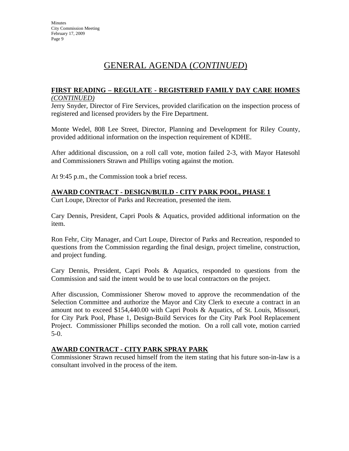#### **FIRST READING – REGULATE - REGISTERED FAMILY DAY CARE HOMES** *(CONTINUED)*

Jerry Snyder, Director of Fire Services, provided clarification on the inspection process of registered and licensed providers by the Fire Department.

Monte Wedel, 808 Lee Street, Director, Planning and Development for Riley County, provided additional information on the inspection requirement of KDHE.

After additional discussion, on a roll call vote, motion failed 2-3, with Mayor Hatesohl and Commissioners Strawn and Phillips voting against the motion.

At 9:45 p.m., the Commission took a brief recess.

#### **AWARD CONTRACT - DESIGN/BUILD - CITY PARK POOL, PHASE 1**

Curt Loupe, Director of Parks and Recreation, presented the item.

Cary Dennis, President, Capri Pools & Aquatics, provided additional information on the item.

Ron Fehr, City Manager, and Curt Loupe, Director of Parks and Recreation, responded to questions from the Commission regarding the final design, project timeline, construction, and project funding.

Cary Dennis, President, Capri Pools & Aquatics, responded to questions from the Commission and said the intent would be to use local contractors on the project.

After discussion, Commissioner Sherow moved to approve the recommendation of the Selection Committee and authorize the Mayor and City Clerk to execute a contract in an amount not to exceed \$154,440.00 with Capri Pools & Aquatics, of St. Louis, Missouri, for City Park Pool, Phase 1, Design-Build Services for the City Park Pool Replacement Project. Commissioner Phillips seconded the motion. On a roll call vote, motion carried 5-0.

#### **AWARD CONTRACT - CITY PARK SPRAY PARK**

Commissioner Strawn recused himself from the item stating that his future son-in-law is a consultant involved in the process of the item.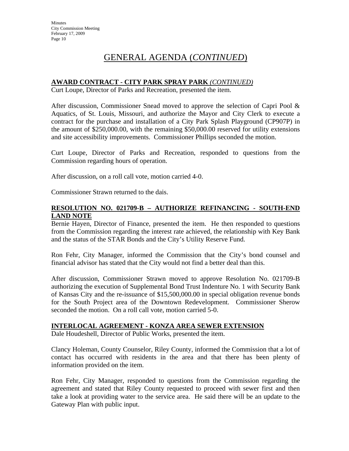### **AWARD CONTRACT - CITY PARK SPRAY PARK** *(CONTINUED)*

Curt Loupe, Director of Parks and Recreation, presented the item.

After discussion, Commissioner Snead moved to approve the selection of Capri Pool  $\&$ Aquatics, of St. Louis, Missouri, and authorize the Mayor and City Clerk to execute a contract for the purchase and installation of a City Park Splash Playground (CP907P) in the amount of \$250,000.00, with the remaining \$50,000.00 reserved for utility extensions and site accessibility improvements. Commissioner Phillips seconded the motion.

Curt Loupe, Director of Parks and Recreation, responded to questions from the Commission regarding hours of operation.

After discussion, on a roll call vote, motion carried 4-0.

Commissioner Strawn returned to the dais.

#### **RESOLUTION NO. 021709-B – AUTHORIZE REFINANCING - SOUTH-END LAND NOTE**

Bernie Hayen, Director of Finance, presented the item. He then responded to questions from the Commission regarding the interest rate achieved, the relationship with Key Bank and the status of the STAR Bonds and the City's Utility Reserve Fund.

Ron Fehr, City Manager, informed the Commission that the City's bond counsel and financial advisor has stated that the City would not find a better deal than this.

After discussion, Commissioner Strawn moved to approve Resolution No. 021709-B authorizing the execution of Supplemental Bond Trust Indenture No. 1 with Security Bank of Kansas City and the re-issuance of \$15,500,000.00 in special obligation revenue bonds for the South Project area of the Downtown Redevelopment. Commissioner Sherow seconded the motion. On a roll call vote, motion carried 5-0.

#### **INTERLOCAL AGREEMENT - KONZA AREA SEWER EXTENSION**

Dale Houdeshell, Director of Public Works, presented the item.

Clancy Holeman, County Counselor, Riley County, informed the Commission that a lot of contact has occurred with residents in the area and that there has been plenty of information provided on the item.

Ron Fehr, City Manager, responded to questions from the Commission regarding the agreement and stated that Riley County requested to proceed with sewer first and then take a look at providing water to the service area. He said there will be an update to the Gateway Plan with public input.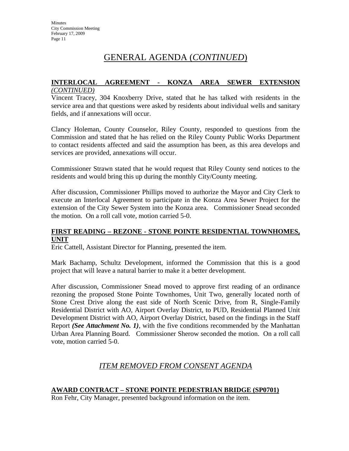#### **INTERLOCAL AGREEMENT - KONZA AREA SEWER EXTENSION** *(CONTINUED)*

Vincent Tracey, 304 Knoxberry Drive, stated that he has talked with residents in the service area and that questions were asked by residents about individual wells and sanitary fields, and if annexations will occur.

Clancy Holeman, County Counselor, Riley County, responded to questions from the Commission and stated that he has relied on the Riley County Public Works Department to contact residents affected and said the assumption has been, as this area develops and services are provided, annexations will occur.

Commissioner Strawn stated that he would request that Riley County send notices to the residents and would bring this up during the monthly City/County meeting.

After discussion, Commissioner Phillips moved to authorize the Mayor and City Clerk to execute an Interlocal Agreement to participate in the Konza Area Sewer Project for the extension of the City Sewer System into the Konza area. Commissioner Snead seconded the motion. On a roll call vote, motion carried 5-0.

#### **FIRST READING – REZONE - STONE POINTE RESIDENTIAL TOWNHOMES, UNIT**

Eric Cattell, Assistant Director for Planning, presented the item.

Mark Bachamp, Schultz Development, informed the Commission that this is a good project that will leave a natural barrier to make it a better development.

After discussion, Commissioner Snead moved to approve first reading of an ordinance rezoning the proposed Stone Pointe Townhomes, Unit Two, generally located north of Stone Crest Drive along the east side of North Scenic Drive, from R, Single-Family Residential District with AO, Airport Overlay District, to PUD, Residential Planned Unit Development District with AO, Airport Overlay District, based on the findings in the Staff Report *(See Attachment No. 1)*, with the five conditions recommended by the Manhattan Urban Area Planning Board. Commissioner Sherow seconded the motion. On a roll call vote, motion carried 5-0.

### *ITEM REMOVED FROM CONSENT AGENDA*

#### **AWARD CONTRACT – STONE POINTE PEDESTRIAN BRIDGE (SP0701)**

Ron Fehr, City Manager, presented background information on the item.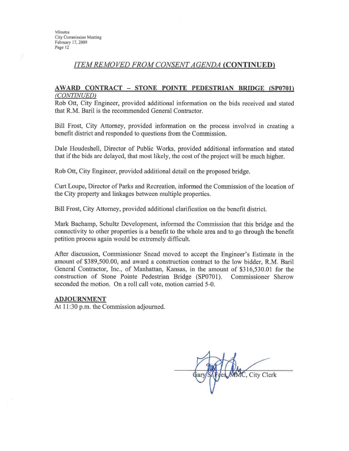### **ITEM REMOVED FROM CONSENT AGENDA (CONTINUED)**

#### AWARD CONTRACT - STONE POINTE PEDESTRIAN BRIDGE (SP0701) (CONTINUED)

Rob Ott, City Engineer, provided additional information on the bids received and stated that R.M. Baril is the recommended General Contractor.

Bill Frost, City Attorney, provided information on the process involved in creating a benefit district and responded to questions from the Commission.

Dale Houdeshell, Director of Public Works, provided additional information and stated that if the bids are delayed, that most likely, the cost of the project will be much higher.

Rob Ott, City Engineer, provided additional detail on the proposed bridge.

Curt Loupe, Director of Parks and Recreation, informed the Commission of the location of the City property and linkages between multiple properties.

Bill Frost, City Attorney, provided additional clarification on the benefit district.

Mark Bachamp, Schultz Development, informed the Commission that this bridge and the connectivity to other properties is a benefit to the whole area and to go through the benefit petition process again would be extremely difficult.

After discussion, Commissioner Snead moved to accept the Engineer's Estimate in the amount of \$389,500.00, and award a construction contract to the low bidder, R.M. Baril General Contractor, Inc., of Manhattan, Kansas, in the amount of \$316,530.01 for the construction of Stone Pointe Pedestrian Bridge (SP0701). Commissioner Sherow seconded the motion. On a roll call vote, motion carried 5-0.

#### **ADJOURNMENT**

At 11:30 p.m. the Commission adjourned.

MMC, City Clerk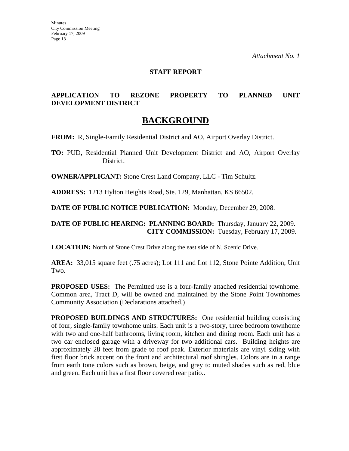#### **STAFF REPORT**

### **APPLICATION TO REZONE PROPERTY TO PLANNED UNIT DEVELOPMENT DISTRICT**

### **BACKGROUND**

**FROM:** R, Single-Family Residential District and AO, Airport Overlay District.

**TO:** PUD, Residential Planned Unit Development District and AO, Airport Overlay District.

**OWNER/APPLICANT:** Stone Crest Land Company, LLC - Tim Schultz.

**ADDRESS:** 1213 Hylton Heights Road, Ste. 129, Manhattan, KS 66502.

**DATE OF PUBLIC NOTICE PUBLICATION:** Monday, December 29, 2008.

#### **DATE OF PUBLIC HEARING: PLANNING BOARD:** Thursday, January 22, 2009. **CITY COMMISSION:** Tuesday, February 17, 2009.

**LOCATION:** North of Stone Crest Drive along the east side of N. Scenic Drive.

**AREA:** 33,015 square feet (.75 acres); Lot 111 and Lot 112, Stone Pointe Addition, Unit Two.

**PROPOSED USES:** The Permitted use is a four-family attached residential townhome. Common area, Tract D, will be owned and maintained by the Stone Point Townhomes Community Association (Declarations attached.)

**PROPOSED BUILDINGS AND STRUCTURES:** One residential building consisting of four, single-family townhome units. Each unit is a two-story, three bedroom townhome with two and one-half bathrooms, living room, kitchen and dining room. Each unit has a two car enclosed garage with a driveway for two additional cars. Building heights are approximately 28 feet from grade to roof peak. Exterior materials are vinyl siding with first floor brick accent on the front and architectural roof shingles. Colors are in a range from earth tone colors such as brown, beige, and grey to muted shades such as red, blue and green. Each unit has a first floor covered rear patio..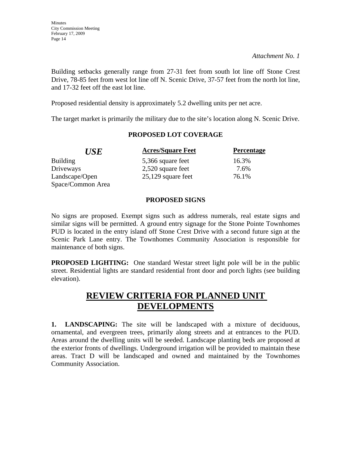Building setbacks generally range from 27-31 feet from south lot line off Stone Crest Drive, 78-85 feet from west lot line off N. Scenic Drive, 37-57 feet from the north lot line, and 17-32 feet off the east lot line.

Proposed residential density is approximately 5.2 dwelling units per net acre.

The target market is primarily the military due to the site's location along N. Scenic Drive.

#### **PROPOSED LOT COVERAGE**

| <b>USE</b>        | <b>Acres/Square Feet</b> | Percentage |
|-------------------|--------------------------|------------|
| <b>Building</b>   | 5,366 square feet        | 16.3%      |
| Driveways         | 2,520 square feet        | 7.6%       |
| Landscape/Open    | $25,129$ square feet     | 76.1%      |
| Space/Common Area |                          |            |

#### **PROPOSED SIGNS**

No signs are proposed. Exempt signs such as address numerals, real estate signs and similar signs will be permitted. A ground entry signage for the Stone Pointe Townhomes PUD is located in the entry island off Stone Crest Drive with a second future sign at the Scenic Park Lane entry. The Townhomes Community Association is responsible for maintenance of both signs.

**PROPOSED LIGHTING:** One standard Westar street light pole will be in the public street. Residential lights are standard residential front door and porch lights (see building elevation).

# **REVIEW CRITERIA FOR PLANNED UNIT DEVELOPMENTS**

**1. LANDSCAPING:** The site will be landscaped with a mixture of deciduous, ornamental, and evergreen trees, primarily along streets and at entrances to the PUD. Areas around the dwelling units will be seeded. Landscape planting beds are proposed at the exterior fronts of dwellings. Underground irrigation will be provided to maintain these areas. Tract D will be landscaped and owned and maintained by the Townhomes Community Association.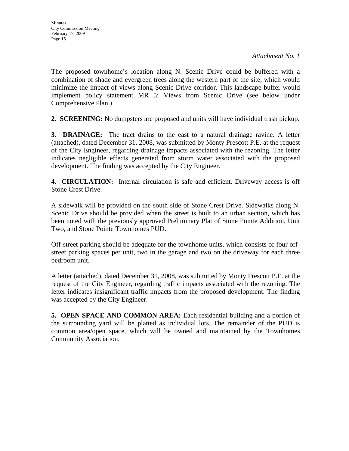The proposed townhome's location along N. Scenic Drive could be buffered with a combination of shade and evergreen trees along the western part of the site, which would minimize the impact of views along Scenic Drive corridor. This landscape buffer would implement policy statement MR 5: Views from Scenic Drive (see below under Comprehensive Plan.)

**2. SCREENING:** No dumpsters are proposed and units will have individual trash pickup.

**3. DRAINAGE:** The tract drains to the east to a natural drainage ravine. A letter (attached), dated December 31, 2008, was submitted by Monty Prescott P.E. at the request of the City Engineer, regarding drainage impacts associated with the rezoning. The letter indicates negligible effects generated from storm water associated with the proposed development. The finding was accepted by the City Engineer.

**4. CIRCULATION:** Internal circulation is safe and efficient. Driveway access is off Stone Crest Drive.

A sidewalk will be provided on the south side of Stone Crest Drive. Sidewalks along N. Scenic Drive should be provided when the street is built to an urban section, which has been noted with the previously approved Preliminary Plat of Stone Pointe Addition, Unit Two, and Stone Pointe Townhomes PUD.

Off-street parking should be adequate for the townhome units, which consists of four offstreet parking spaces per unit, two in the garage and two on the driveway for each three bedroom unit.

A letter (attached), dated December 31, 2008, was submitted by Monty Prescott P.E. at the request of the City Engineer, regarding traffic impacts associated with the rezoning. The letter indicates insignificant traffic impacts from the proposed development. The finding was accepted by the City Engineer.

**5. OPEN SPACE AND COMMON AREA:** Each residential building and a portion of the surrounding yard will be platted as individual lots. The remainder of the PUD is common area/open space, which will be owned and maintained by the Townhomes Community Association.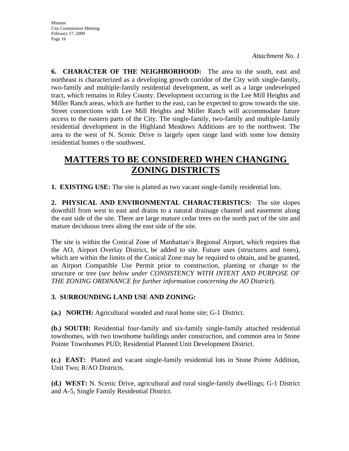**6. CHARACTER OF THE NEIGHBORHOOD:** The area to the south, east and northeast is characterized as a developing growth corridor of the City with single-family, two-family and multiple-family residential development, as well as a large undeveloped tract, which remains in Riley County. Development occurring in the Lee Mill Heights and Miller Ranch areas, which are further to the east, can be expected to grow towards the site. Street connections with Lee Mill Heights and Miller Ranch will accommodate future access to the eastern parts of the City. The single-family, two-family and multiple-family residential development in the Highland Meadows Additions are to the northwest. The area to the west of N. Scenic Drive is largely open range land with some low density residential homes o the southwest.

# **MATTERS TO BE CONSIDERED WHEN CHANGING ZONING DISTRICTS**

**1. EXISTING USE:** The site is platted as two vacant single-family residential lots.

**2. PHYSICAL AND ENVIRONMENTAL CHARACTERISTICS:** The site slopes downhill from west to east and drains to a natural drainage channel and easement along the east side of the site. There are large mature cedar trees on the north part of the site and mature deciduous trees along the east side of the site.

The site is within the Conical Zone of Manhattan's Regional Airport, which requires that the AO, Airport Overlay District, be added to site. Future uses (structures and trees), which are within the limits of the Conical Zone may be required to obtain, and be granted, an Airport Compatible Use Permit prior to construction, planting or change to the structure or tree (*see below under CONSISTENCY WITH INTENT AND PURPOSE OF THE ZONING ORDINANCE for further information concerning the AO District*).

#### **3. SURROUNDING LAND USE AND ZONING:**

**(a.) NORTH:** Agricultural wooded and rural home site; G-1 District.

**(b.) SOUTH:** Residential four-family and six-family single-family attached residential townhomes, with two townhome buildings under construction, and common area in Stone Pointe Townhomes PUD; Residential Planned Unit Development District.

**(c.) EAST:** Platted and vacant single-family residential lots in Stone Pointe Addition, Unit Two; R/AO Districts.

**(d.) WEST:** N. Scenic Drive, agricultural and rural single-family dwellings; G-1 District and A-5, Single Family Residential District.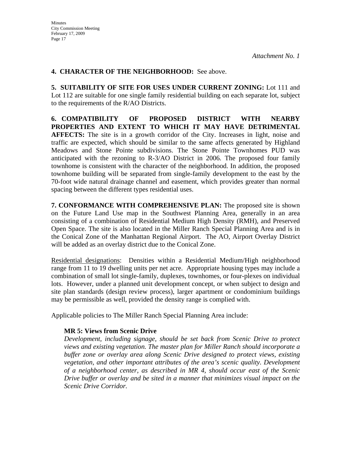#### **4. CHARACTER OF THE NEIGHBORHOOD:** See above.

**5. SUITABILITY OF SITE FOR USES UNDER CURRENT ZONING:** Lot 111 and Lot 112 are suitable for one single family residential building on each separate lot, subject to the requirements of the R/AO Districts.

**6. COMPATIBILITY OF PROPOSED DISTRICT WITH NEARBY PROPERTIES AND EXTENT TO WHICH IT MAY HAVE DETRIMENTAL AFFECTS:** The site is in a growth corridor of the City. Increases in light, noise and traffic are expected, which should be similar to the same affects generated by Highland Meadows and Stone Pointe subdivisions. The Stone Pointe Townhomes PUD was anticipated with the rezoning to R-3/AO District in 2006. The proposed four family townhome is consistent with the character of the neighborhood. In addition, the proposed townhome building will be separated from single-family development to the east by the 70-foot wide natural drainage channel and easement, which provides greater than normal spacing between the different types residential uses.

**7. CONFORMANCE WITH COMPREHENSIVE PLAN:** The proposed site is shown on the Future Land Use map in the Southwest Planning Area, generally in an area consisting of a combination of Residential Medium High Density (RMH), and Preserved Open Space. The site is also located in the Miller Ranch Special Planning Area and is in the Conical Zone of the Manhattan Regional Airport. The AO, Airport Overlay District will be added as an overlay district due to the Conical Zone.

Residential designations: Densities within a Residential Medium/High neighborhood range from 11 to 19 dwelling units per net acre. Appropriate housing types may include a combination of small lot single-family, duplexes, townhomes, or four-plexes on individual lots. However, under a planned unit development concept, or when subject to design and site plan standards (design review process), larger apartment or condominium buildings may be permissible as well, provided the density range is complied with.

Applicable policies to The Miller Ranch Special Planning Area include:

#### **MR 5: Views from Scenic Drive**

*Development, including signage, should be set back from Scenic Drive to protect views and existing vegetation. The master plan for Miller Ranch should incorporate a buffer zone or overlay area along Scenic Drive designed to protect views, existing vegetation, and other important attributes of the area's scenic quality. Development of a neighborhood center, as described in MR 4, should occur east of the Scenic Drive buffer or overlay and be sited in a manner that minimizes visual impact on the Scenic Drive Corridor.*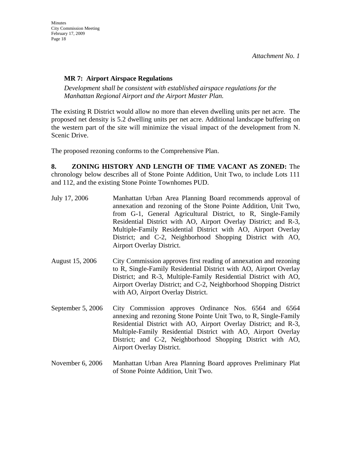### **MR 7: Airport Airspace Regulations**

*Development shall be consistent with established airspace regulations for the Manhattan Regional Airport and the Airport Master Plan.* 

The existing R District would allow no more than eleven dwelling units per net acre. The proposed net density is 5.2 dwelling units per net acre. Additional landscape buffering on the western part of the site will minimize the visual impact of the development from N. Scenic Drive.

The proposed rezoning conforms to the Comprehensive Plan.

**8. ZONING HISTORY AND LENGTH OF TIME VACANT AS ZONED:** The chronology below describes all of Stone Pointe Addition, Unit Two, to include Lots 111 and 112, and the existing Stone Pointe Townhomes PUD.

- July 17, 2006 Manhattan Urban Area Planning Board recommends approval of annexation and rezoning of the Stone Pointe Addition, Unit Two, from G-1, General Agricultural District, to R, Single-Family Residential District with AO, Airport Overlay District; and R-3, Multiple-Family Residential District with AO, Airport Overlay District; and C-2, Neighborhood Shopping District with AO, Airport Overlay District.
- August 15, 2006 City Commission approves first reading of annexation and rezoning to R, Single-Family Residential District with AO, Airport Overlay District; and R-3, Multiple-Family Residential District with AO, Airport Overlay District; and C-2, Neighborhood Shopping District with AO, Airport Overlay District.
- September 5, 2006 City Commission approves Ordinance Nos. 6564 and 6564 annexing and rezoning Stone Pointe Unit Two, to R, Single-Family Residential District with AO, Airport Overlay District; and R-3, Multiple-Family Residential District with AO, Airport Overlay District; and C-2, Neighborhood Shopping District with AO, Airport Overlay District.
- November 6, 2006 Manhattan Urban Area Planning Board approves Preliminary Plat of Stone Pointe Addition, Unit Two.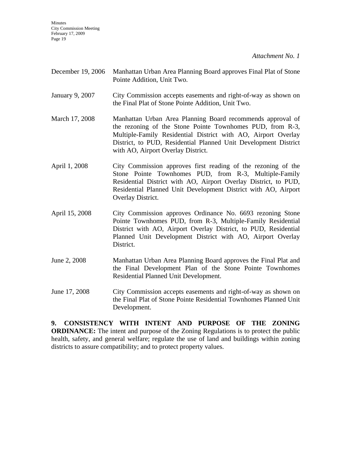Minutes City Commission Meeting February 17, 2009 Page 19

*Attachment No. 1*

| December 19, 2006 | Manhattan Urban Area Planning Board approves Final Plat of Stone<br>Pointe Addition, Unit Two.                                                                                                                                                                                                    |  |
|-------------------|---------------------------------------------------------------------------------------------------------------------------------------------------------------------------------------------------------------------------------------------------------------------------------------------------|--|
| January 9, 2007   | City Commission accepts easements and right-of-way as shown on<br>the Final Plat of Stone Pointe Addition, Unit Two.                                                                                                                                                                              |  |
| March 17, 2008    | Manhattan Urban Area Planning Board recommends approval of<br>the rezoning of the Stone Pointe Townhomes PUD, from R-3,<br>Multiple-Family Residential District with AO, Airport Overlay<br>District, to PUD, Residential Planned Unit Development District<br>with AO, Airport Overlay District. |  |
| April 1, 2008     | City Commission approves first reading of the rezoning of the<br>Stone Pointe Townhomes PUD, from R-3, Multiple-Family<br>Residential District with AO, Airport Overlay District, to PUD,<br>Residential Planned Unit Development District with AO, Airport<br>Overlay District.                  |  |
| April 15, 2008    | City Commission approves Ordinance No. 6693 rezoning Stone<br>Pointe Townhomes PUD, from R-3, Multiple-Family Residential<br>District with AO, Airport Overlay District, to PUD, Residential<br>Planned Unit Development District with AO, Airport Overlay<br>District.                           |  |
| June 2, 2008      | Manhattan Urban Area Planning Board approves the Final Plat and<br>the Final Development Plan of the Stone Pointe Townhomes<br>Residential Planned Unit Development.                                                                                                                              |  |
| June 17, 2008     | City Commission accepts easements and right-of-way as shown on<br>the Final Plat of Stone Pointe Residential Townhomes Planned Unit<br>Development.                                                                                                                                               |  |

**9. CONSISTENCY WITH INTENT AND PURPOSE OF THE ZONING ORDINANCE:** The intent and purpose of the Zoning Regulations is to protect the public health, safety, and general welfare; regulate the use of land and buildings within zoning districts to assure compatibility; and to protect property values.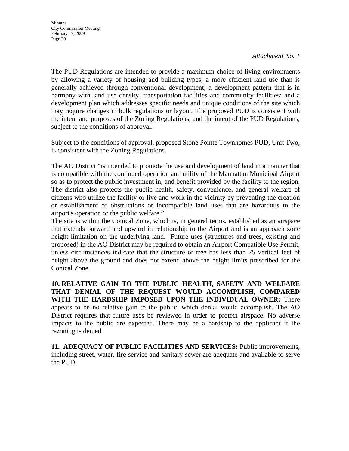The PUD Regulations are intended to provide a maximum choice of living environments by allowing a variety of housing and building types; a more efficient land use than is generally achieved through conventional development; a development pattern that is in harmony with land use density, transportation facilities and community facilities; and a development plan which addresses specific needs and unique conditions of the site which may require changes in bulk regulations or layout. The proposed PUD is consistent with the intent and purposes of the Zoning Regulations, and the intent of the PUD Regulations, subject to the conditions of approval.

Subject to the conditions of approval, proposed Stone Pointe Townhomes PUD, Unit Two, is consistent with the Zoning Regulations.

The AO District "is intended to promote the use and development of land in a manner that is compatible with the continued operation and utility of the Manhattan Municipal Airport so as to protect the public investment in, and benefit provided by the facility to the region. The district also protects the public health, safety, convenience, and general welfare of citizens who utilize the facility or live and work in the vicinity by preventing the creation or establishment of obstructions or incompatible land uses that are hazardous to the airport's operation or the public welfare."

The site is within the Conical Zone, which is, in general terms, established as an airspace that extends outward and upward in relationship to the Airport and is an approach zone height limitation on the underlying land. Future uses (structures and trees, existing and proposed) in the AO District may be required to obtain an Airport Compatible Use Permit, unless circumstances indicate that the structure or tree has less than 75 vertical feet of height above the ground and does not extend above the height limits prescribed for the Conical Zone.

**10. RELATIVE GAIN TO THE PUBLIC HEALTH, SAFETY AND WELFARE THAT DENIAL OF THE REQUEST WOULD ACCOMPLISH, COMPARED WITH THE HARDSHIP IMPOSED UPON THE INDIVIDUAL OWNER:** There appears to be no relative gain to the public, which denial would accomplish. The AO District requires that future uses be reviewed in order to protect airspace. No adverse impacts to the public are expected. There may be a hardship to the applicant if the rezoning is denied.

**11. ADEQUACY OF PUBLIC FACILITIES AND SERVICES:** Public improvements, including street, water, fire service and sanitary sewer are adequate and available to serve the PUD.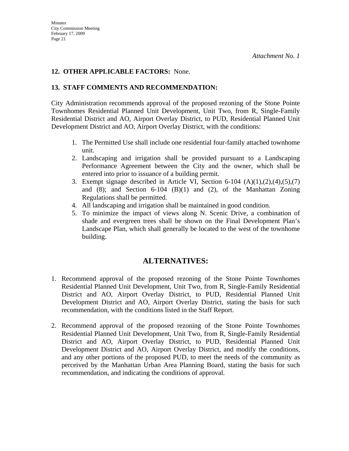### **12. OTHER APPLICABLE FACTORS:** None.

### **13. STAFF COMMENTS AND RECOMMENDATION:**

City Administration recommends approval of the proposed rezoning of the Stone Pointe Townhomes Residential Planned Unit Development, Unit Two, from R, Single-Family Residential District and AO, Airport Overlay District, to PUD, Residential Planned Unit Development District and AO, Airport Overlay District, with the conditions:

- 1. The Permitted Use shall include one residential four-family attached townhome unit.
- 2. Landscaping and irrigation shall be provided pursuant to a Landscaping Performance Agreement between the City and the owner, which shall be entered into prior to issuance of a building permit.
- 3. Exempt signage described in Article VI, Section 6-104  $(A)(1),(2),(4),(5),(7)$ and  $(8)$ ; and Section 6-104  $(B)(1)$  and  $(2)$ , of the Manhattan Zoning Regulations shall be permitted.
- 4. All landscaping and irrigation shall be maintained in good condition.
- 5. To minimize the impact of views along N. Scenic Drive, a combination of shade and evergreen trees shall be shown on the Final Development Plan's Landscape Plan, which shall generally be located to the west of the townhome building.

### **ALTERNATIVES:**

- 1. Recommend approval of the proposed rezoning of the Stone Pointe Townhomes Residential Planned Unit Development, Unit Two, from R, Single-Family Residential District and AO, Airport Overlay District, to PUD, Residential Planned Unit Development District and AO, Airport Overlay District, stating the basis for such recommendation, with the conditions listed in the Staff Report.
- 2. Recommend approval of the proposed rezoning of the Stone Pointe Townhomes Residential Planned Unit Development, Unit Two, from R, Single-Family Residential District and AO, Airport Overlay District, to PUD, Residential Planned Unit Development District and AO, Airport Overlay District, and modify the conditions, and any other portions of the proposed PUD, to meet the needs of the community as perceived by the Manhattan Urban Area Planning Board, stating the basis for such recommendation, and indicating the conditions of approval.